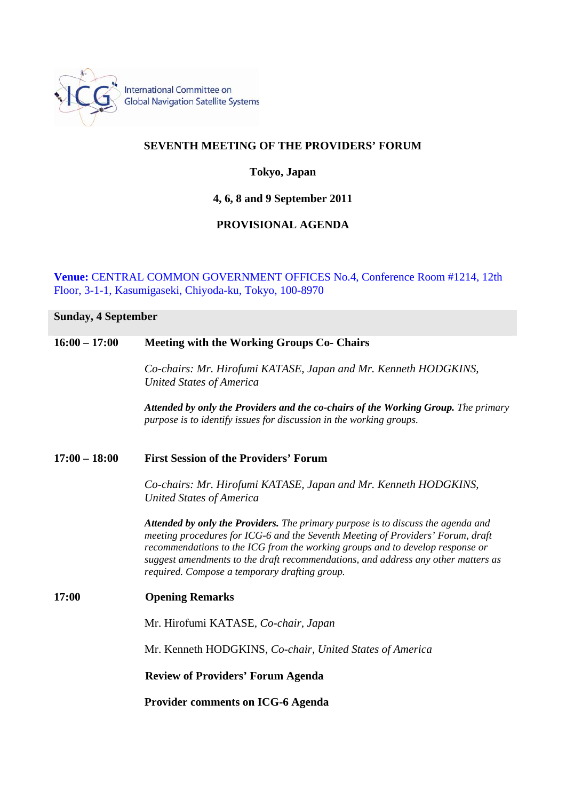

## **SEVENTH MEETING OF THE PROVIDERS' FORUM**

### **Tokyo, Japan**

**4, 6, 8 and 9 September 2011** 

# **PROVISIONAL AGENDA**

**Venue:** CENTRAL COMMON GOVERNMENT OFFICES No.4, Conference Room #1214, 12th Floor, 3-1-1, Kasumigaseki, Chiyoda-ku, Tokyo, 100-8970

# **Sunday, 4 September 16:00 – 17:00 Meeting with the Working Groups Co- Chairs**  *Co-chairs: Mr. Hirofumi KATASE, Japan and Mr. Kenneth HODGKINS, United States of America*

*Attended by only the Providers and the co-chairs of the Working Group. The primary purpose is to identify issues for discussion in the working groups.* 

#### **17:00 – 18:00 First Session of the Providers' Forum**

*Co-chairs: Mr. Hirofumi KATASE, Japan and Mr. Kenneth HODGKINS, United States of America* 

*Attended by only the Providers. The primary purpose is to discuss the agenda and meeting procedures for ICG-6 and the Seventh Meeting of Providers' Forum, draft recommendations to the ICG from the working groups and to develop response or suggest amendments to the draft recommendations, and address any other matters as required. Compose a temporary drafting group.* 

# **17:00 Opening Remarks**  Mr. Hirofumi KATASE, *Co-chair, Japan*  Mr. Kenneth HODGKINS, *Co-chair, United States of America*  **Review of Providers' Forum Agenda Provider comments on ICG-6 Agenda**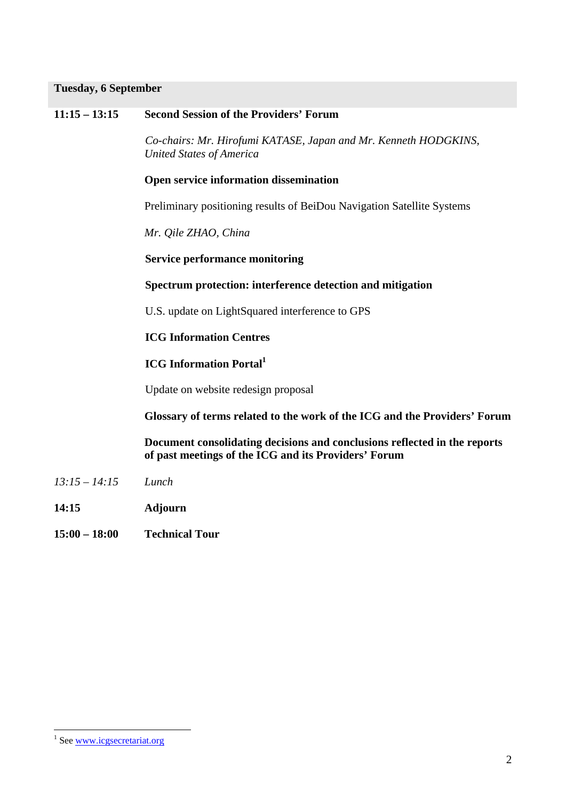#### **Tuesday, 6 September**

#### **11:15 – 13:15 Second Session of the Providers' Forum**

*Co-chairs: Mr. Hirofumi KATASE, Japan and Mr. Kenneth HODGKINS, United States of America* 

#### **Open service information dissemination**

Preliminary positioning results of BeiDou Navigation Satellite Systems

*Mr. Qile ZHAO, China* 

 **Service performance monitoring** 

#### **Spectrum protection: interference detection and mitigation**

U.S. update on LightSquared interference to GPS

#### **ICG Information Centres**

# **ICG Information Portal1**

Update on website redesign proposal

 **Glossary of terms related to the work of the ICG and the Providers' Forum**

 **Document consolidating decisions and conclusions reflected in the reports of past meetings of the ICG and its Providers' Forum** 

- *13:15 14:15 Lunch*
- **14:15 Adjourn**
- **15:00 18:00 Technical Tour**

 $\overline{a}$ 

<sup>&</sup>lt;sup>1</sup> See www.icgsecretariat.org